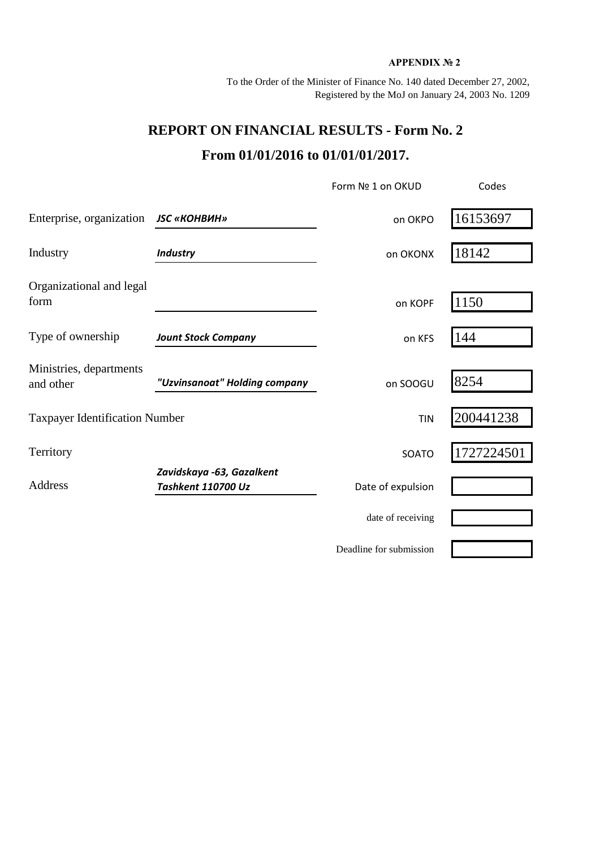## **APPENDIX № 2**

To the Order of the Minister of Finance No. 140 dated December 27, 2002, Registered by the MoJ on January 24, 2003 No. 1209

## **REPORT ON FINANCIAL RESULTS - Form No. 2 From 01/01/2016 to 01/01/01/2017.**

|                                       |                                                 | Form Nº 1 on OKUD       | Codes      |  |
|---------------------------------------|-------------------------------------------------|-------------------------|------------|--|
| Enterprise, organization              | <b>JSC «КОНВИН»</b>                             | on OKPO                 | 16153697   |  |
| Industry                              | <b>Industry</b>                                 | on OKONX                | 18142      |  |
| Organizational and legal<br>form      |                                                 | on KOPF                 | 1150       |  |
| Type of ownership                     | <b>Jount Stock Company</b>                      | on KFS                  | 144        |  |
| Ministries, departments<br>and other  | "Uzvinsanoat" Holding company                   | on SOOGU                | 8254       |  |
| <b>Taxpayer Identification Number</b> |                                                 | <b>TIN</b>              | 200441238  |  |
| Territory                             |                                                 | SOATO                   | 1727224501 |  |
| Address                               | Zavidskaya -63, Gazalkent<br>Tashkent 110700 Uz | Date of expulsion       |            |  |
|                                       |                                                 | date of receiving       |            |  |
|                                       |                                                 | Deadline for submission |            |  |